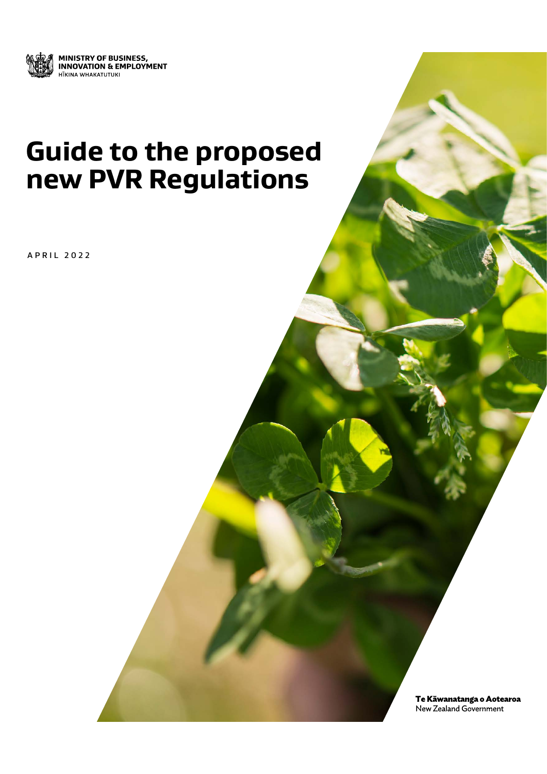

## **Guide to the proposed new PVR Regulations**

APRIL 2022

Te Kāwanatanga o Aotearoa New Zealand Government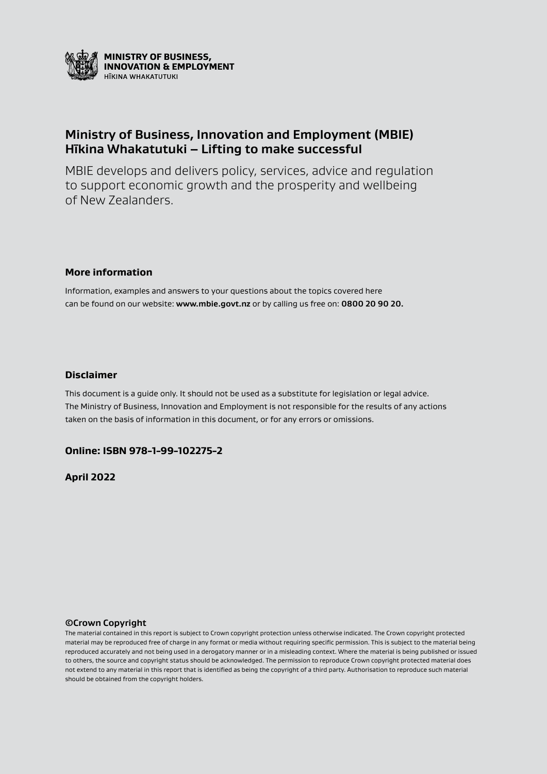

## **Ministry of Business, Innovation and Employment (MBIE) Hīkina Whakatutuki – Lifting to make successful**

MBIE develops and delivers policy, services, advice and regulation to support economic growth and the prosperity and wellbeing of New Zealanders.

#### **More information**

Information, examples and answers to your questions about the topics covered here can be found on our website: **www.mbie.govt.nz** or by calling us free on: **0800 20 90 20.**

#### **Disclaimer**

This document is a guide only. It should not be used as a substitute for legislation or legal advice. The Ministry of Business, Innovation and Employment is not responsible for the results of any actions taken on the basis of information in this document, or for any errors or omissions.

### **Online: ISBN 978-1-99-102275-2**

**April 2022**

#### **©Crown Copyright**

The material contained in this report is subject to Crown copyright protection unless otherwise indicated. The Crown copyright protected material may be reproduced free of charge in any format or media without requiring specific permission. This is subject to the material being reproduced accurately and not being used in a derogatory manner or in a misleading context. Where the material is being published or issued to others, the source and copyright status should be acknowledged. The permission to reproduce Crown copyright protected material does not extend to any material in this report that is identified as being the copyright of a third party. Authorisation to reproduce such material should be obtained from the copyright holders.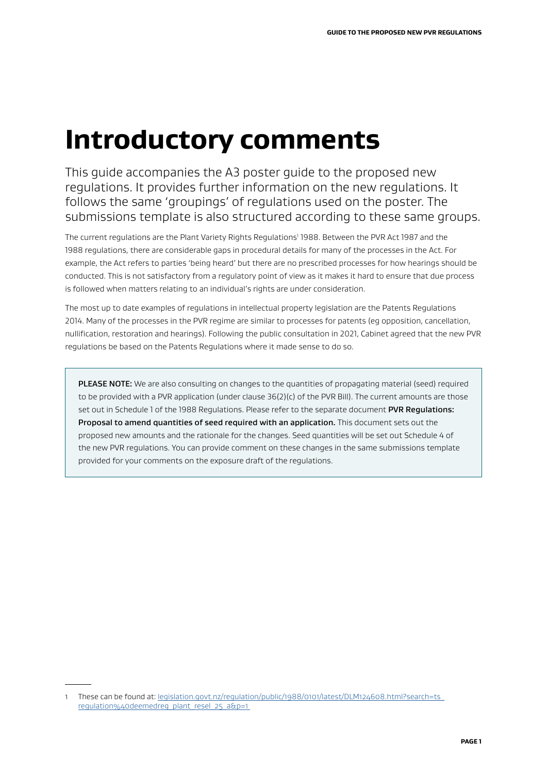# **Introductory comments**

This guide accompanies the A3 poster guide to the proposed new regulations. It provides further information on the new regulations. It follows the same 'groupings' of regulations used on the poster. The submissions template is also structured according to these same groups.

The current regulations are the Plant Variety Rights Regulations<sup>1</sup> 1988. Between the PVR Act 1987 and the 1988 regulations, there are considerable gaps in procedural details for many of the processes in the Act. For example, the Act refers to parties 'being heard' but there are no prescribed processes for how hearings should be conducted. This is not satisfactory from a regulatory point of view as it makes it hard to ensure that due process is followed when matters relating to an individual's rights are under consideration.

The most up to date examples of regulations in intellectual property legislation are the Patents Regulations 2014. Many of the processes in the PVR regime are similar to processes for patents (eg opposition, cancellation, nullification, restoration and hearings). Following the public consultation in 2021, Cabinet agreed that the new PVR regulations be based on the Patents Regulations where it made sense to do so.

PLEASE NOTE: We are also consulting on changes to the quantities of propagating material (seed) required to be provided with a PVR application (under clause 36(2)(c) of the PVR Bill). The current amounts are those set out in Schedule 1 of the 1988 Regulations. Please refer to the separate document PVR Regulations: Proposal to amend quantities of seed required with an application. This document sets out the proposed new amounts and the rationale for the changes. Seed quantities will be set out Schedule 4 of the new PVR regulations. You can provide comment on these changes in the same submissions template provided for your comments on the exposure draft of the regulations.

<sup>1</sup> These can be found at: legislation.govt.nz/regulation/public/1988/0101/latest/DLM124608.html?search=ts regulation%40deemedreg\_plant\_resel\_25\_a&p=1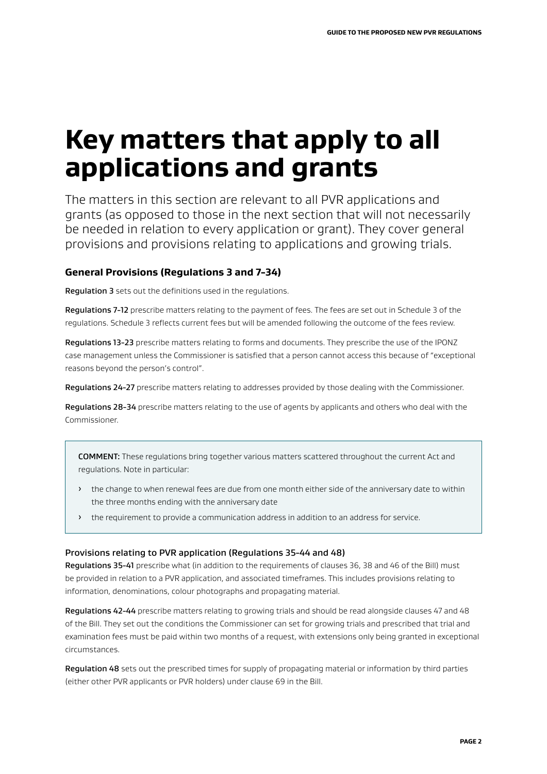# **Key matters that apply to all applications and grants**

The matters in this section are relevant to all PVR applications and grants (as opposed to those in the next section that will not necessarily be needed in relation to every application or grant). They cover general provisions and provisions relating to applications and growing trials.

## **General Provisions (Regulations 3 and 7-34)**

Regulation 3 sets out the definitions used in the regulations.

Regulations 7-12 prescribe matters relating to the payment of fees. The fees are set out in Schedule 3 of the regulations. Schedule 3 reflects current fees but will be amended following the outcome of the fees review.

Regulations 13-23 prescribe matters relating to forms and documents. They prescribe the use of the IPONZ case management unless the Commissioner is satisfied that a person cannot access this because of "exceptional reasons beyond the person's control".

Regulations 24-27 prescribe matters relating to addresses provided by those dealing with the Commissioner.

Regulations 28-34 prescribe matters relating to the use of agents by applicants and others who deal with the Commissioner.

COMMENT: These regulations bring together various matters scattered throughout the current Act and regulations. Note in particular:

- > the change to when renewal fees are due from one month either side of the anniversary date to within the three months ending with the anniversary date
- > the requirement to provide a communication address in addition to an address for service.

#### Provisions relating to PVR application (Regulations 35-44 and 48)

Regulations 35-41 prescribe what (in addition to the requirements of clauses 36, 38 and 46 of the Bill) must be provided in relation to a PVR application, and associated timeframes. This includes provisions relating to information, denominations, colour photographs and propagating material.

Regulations 42-44 prescribe matters relating to growing trials and should be read alongside clauses 47 and 48 of the Bill. They set out the conditions the Commissioner can set for growing trials and prescribed that trial and examination fees must be paid within two months of a request, with extensions only being granted in exceptional circumstances.

Regulation 48 sets out the prescribed times for supply of propagating material or information by third parties (either other PVR applicants or PVR holders) under clause 69 in the Bill.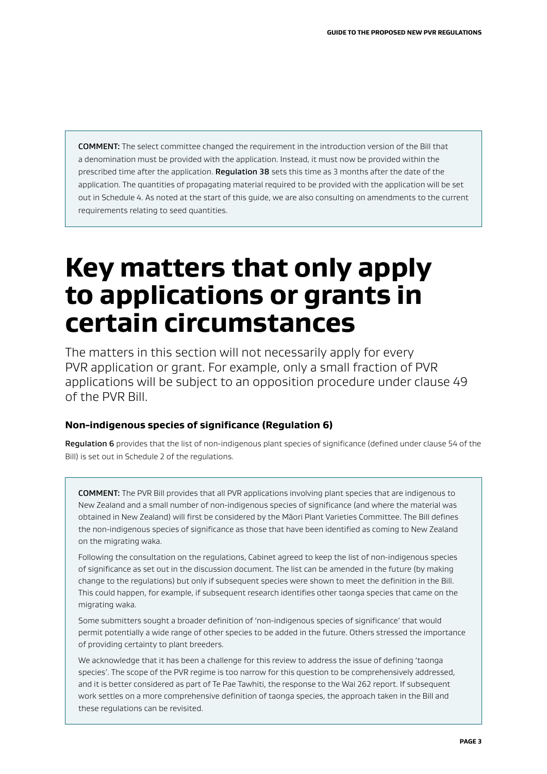COMMENT: The select committee changed the requirement in the introduction version of the Bill that a denomination must be provided with the application. Instead, it must now be provided within the prescribed time after the application. Requlation 38 sets this time as 3 months after the date of the application. The quantities of propagating material required to be provided with the application will be set out in Schedule 4. As noted at the start of this guide, we are also consulting on amendments to the current requirements relating to seed quantities.

## **Key matters that only apply to applications or grants in certain circumstances**

The matters in this section will not necessarily apply for every PVR application or grant. For example, only a small fraction of PVR applications will be subject to an opposition procedure under clause 49 of the PVR Bill.

### **Non-indigenous species of significance (Regulation 6)**

Regulation 6 provides that the list of non-indigenous plant species of significance (defined under clause 54 of the Bill) is set out in Schedule 2 of the regulations.

COMMENT: The PVR Bill provides that all PVR applications involving plant species that are indigenous to New Zealand and a small number of non-indigenous species of significance (and where the material was obtained in New Zealand) will first be considered by the Māori Plant Varieties Committee. The Bill defines the non-indigenous species of significance as those that have been identified as coming to New Zealand on the migrating waka.

Following the consultation on the regulations, Cabinet agreed to keep the list of non-indigenous species of significance as set out in the discussion document. The list can be amended in the future (by making change to the regulations) but only if subsequent species were shown to meet the definition in the Bill. This could happen, for example, if subsequent research identifies other taonga species that came on the migrating waka.

Some submitters sought a broader definition of 'non-indigenous species of significance' that would permit potentially a wide range of other species to be added in the future. Others stressed the importance of providing certainty to plant breeders.

We acknowledge that it has been a challenge for this review to address the issue of defining 'taonga species'. The scope of the PVR regime is too narrow for this question to be comprehensively addressed, and it is better considered as part of Te Pae Tawhiti, the response to the Wai 262 report. If subsequent work settles on a more comprehensive definition of taonga species, the approach taken in the Bill and these regulations can be revisited.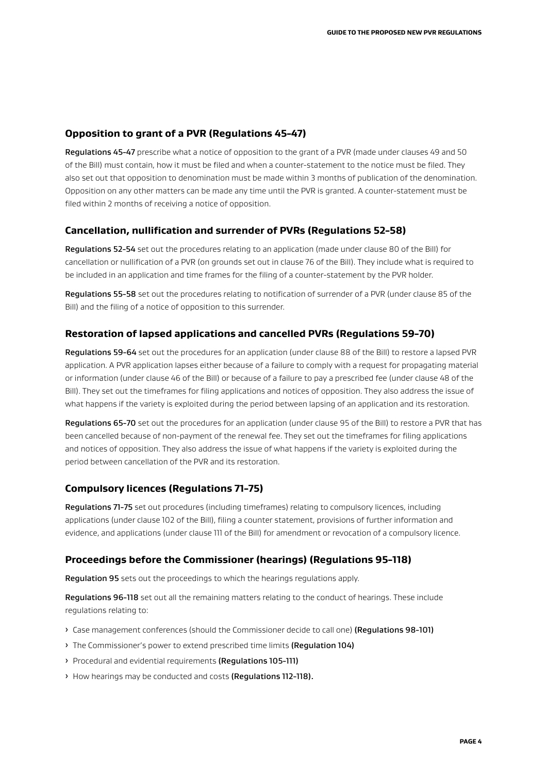## **Opposition to grant of a PVR (Regulations 45-47)**

Regulations 45-47 prescribe what a notice of opposition to the grant of a PVR (made under clauses 49 and 50 of the Bill) must contain, how it must be filed and when a counter-statement to the notice must be filed. They also set out that opposition to denomination must be made within 3 months of publication of the denomination. Opposition on any other matters can be made any time until the PVR is granted. A counter-statement must be filed within 2 months of receiving a notice of opposition.

### **Cancellation, nullification and surrender of PVRs (Regulations 52-58)**

Regulations 52-54 set out the procedures relating to an application (made under clause 80 of the Bill) for cancellation or nullification of a PVR (on grounds set out in clause 76 of the Bill). They include what is required to be included in an application and time frames for the filing of a counter-statement by the PVR holder.

Regulations 55-58 set out the procedures relating to notification of surrender of a PVR (under clause 85 of the Bill) and the filing of a notice of opposition to this surrender.

### **Restoration of lapsed applications and cancelled PVRs (Regulations 59-70)**

Regulations 59-64 set out the procedures for an application (under clause 88 of the Bill) to restore a lapsed PVR application. A PVR application lapses either because of a failure to comply with a request for propagating material or information (under clause 46 of the Bill) or because of a failure to pay a prescribed fee (under clause 48 of the Bill). They set out the timeframes for filing applications and notices of opposition. They also address the issue of what happens if the variety is exploited during the period between lapsing of an application and its restoration.

Regulations 65-70 set out the procedures for an application (under clause 95 of the Bill) to restore a PVR that has been cancelled because of non-payment of the renewal fee. They set out the timeframes for filing applications and notices of opposition. They also address the issue of what happens if the variety is exploited during the period between cancellation of the PVR and its restoration.

### **Compulsory licences (Regulations 71-75)**

Regulations 71-75 set out procedures (including timeframes) relating to compulsory licences, including applications (under clause 102 of the Bill), filing a counter statement, provisions of further information and evidence, and applications (under clause 111 of the Bill) for amendment or revocation of a compulsory licence.

### **Proceedings before the Commissioner (hearings) (Regulations 95-118)**

Regulation 95 sets out the proceedings to which the hearings regulations apply.

Regulations 96-118 set out all the remaining matters relating to the conduct of hearings. These include regulations relating to:

- > Case management conferences (should the Commissioner decide to call one) (Regulations 98-101)
- > The Commissioner's power to extend prescribed time limits (Regulation 104)
- ȓ Procedural and evidential requirements (Regulations 105-111)
- ȓ How hearings may be conducted and costs (Regulations 112-118).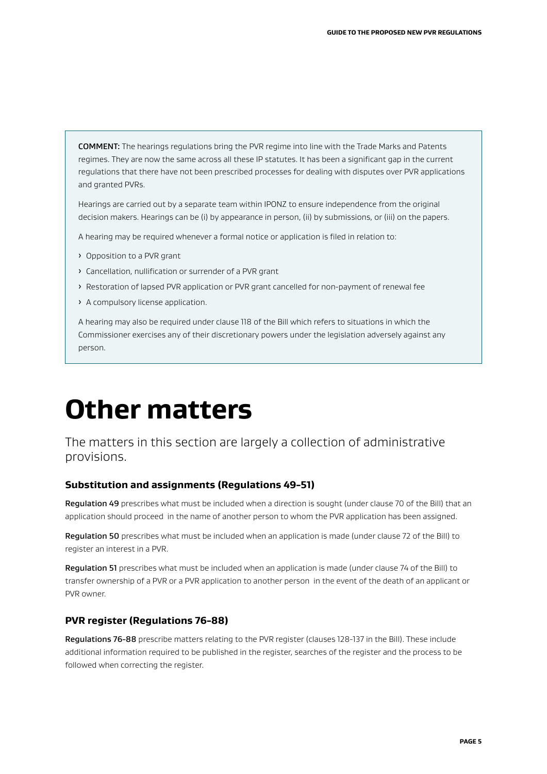COMMENT: The hearings regulations bring the PVR regime into line with the Trade Marks and Patents regimes. They are now the same across all these IP statutes. It has been a significant gap in the current regulations that there have not been prescribed processes for dealing with disputes over PVR applications and granted PVRs.

Hearings are carried out by a separate team within IPONZ to ensure independence from the original decision makers. Hearings can be (i) by appearance in person, (ii) by submissions, or (iii) on the papers.

A hearing may be required whenever a formal notice or application is filed in relation to:

- ȓ Opposition to a PVR grant
- ȓ Cancellation, nullification or surrender of a PVR grant
- > Restoration of lapsed PVR application or PVR grant cancelled for non-payment of renewal fee
- > A compulsory license application.

A hearing may also be required under clause 118 of the Bill which refers to situations in which the Commissioner exercises any of their discretionary powers under the legislation adversely against any person.

# **Other matters**

## The matters in this section are largely a collection of administrative provisions.

#### **Substitution and assignments (Regulations 49-51)**

Regulation 49 prescribes what must be included when a direction is sought (under clause 70 of the Bill) that an application should proceed in the name of another person to whom the PVR application has been assigned.

Regulation 50 prescribes what must be included when an application is made (under clause 72 of the Bill) to register an interest in a PVR.

Regulation 51 prescribes what must be included when an application is made (under clause 74 of the Bill) to transfer ownership of a PVR or a PVR application to another person in the event of the death of an applicant or PVR owner.

### **PVR register (Regulations 76-88)**

Regulations 76-88 prescribe matters relating to the PVR register (clauses 128-137 in the Bill). These include additional information required to be published in the register, searches of the register and the process to be followed when correcting the register.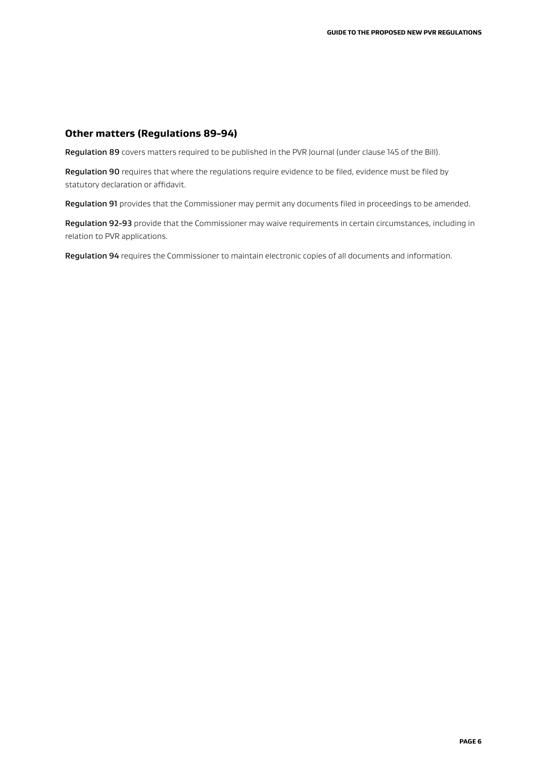## **Other matters (Regulations 89-94)**

Regulation 89 covers matters required to be published in the PVR Journal (under clause 145 of the Bill).

Regulation 90 requires that where the regulations require evidence to be filed, evidence must be filed by statutory declaration or affidavit.

Regulation 91 provides that the Commissioner may permit any documents filed in proceedings to be amended.

Regulation 92-93 provide that the Commissioner may waive requirements in certain circumstances, including in relation to PVR applications.

Regulation 94 requires the Commissioner to maintain electronic copies of all documents and information.